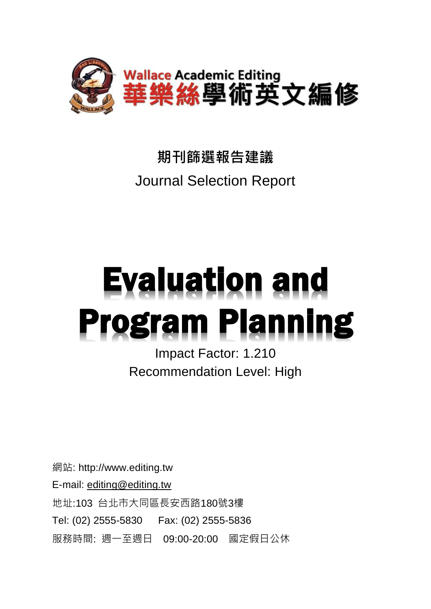

## **期刊篩選報告建議** Journal Selection Report

# **Evaluation and Program Planning**

Impact Factor: 1.210 Recommendation Level: High

網站: http://www.editing.tw E-mail: [editing@editing.tw](mailto:editing@editing.tw) 地址:103 台北市大同區長安西路180號3樓 Tel: (02) 2555-5830 Fax: (02) 2555-5836 服務時間: 週一至週日 09:00-20:00 國定假日公休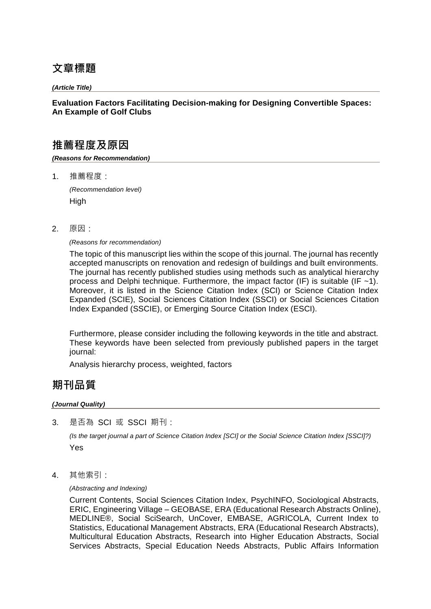## **文章標題**

*(Article Title)*

## **Evaluation Factors Facilitating Decision-making for Designing Convertible Spaces: An Example of Golf Clubs**

## **推薦程度及原因**

*(Reasons for Recommendation)*

1. 推薦程度:

*(Recommendation level)* **High** 

2. 原因:

*(Reasons for recommendation)*

The topic of this manuscript lies within the scope of this journal. The journal has recently accepted manuscripts on renovation and redesign of buildings and built environments. The journal has recently published studies using methods such as analytical hierarchy process and Delphi technique. Furthermore, the impact factor (IF) is suitable (IF  $~1$ ). Moreover, it is listed in the Science Citation Index (SCI) or Science Citation Index Expanded (SCIE), Social Sciences Citation Index (SSCI) or Social Sciences Citation Index Expanded (SSCIE), or Emerging Source Citation Index (ESCI).

Furthermore, please consider including the following keywords in the title and abstract. These keywords have been selected from previously published papers in the target journal:

Analysis hierarchy process, weighted, factors

## **期刊品質**

#### *(Journal Quality)*

3. 是否為 SCI 或 SSCI 期刊:

*(Is the target journal a part of Science Citation Index [SCI] or the Social Science Citation Index [SSCI]?)* Yes

4. 其他索引:

*(Abstracting and Indexing)*

Current Contents, Social Sciences Citation Index, PsychINFO, Sociological Abstracts, ERIC, Engineering Village – GEOBASE, ERA (Educational Research Abstracts Online), MEDLINE®, Social SciSearch, UnCover, EMBASE, AGRICOLA, Current Index to Statistics, Educational Management Abstracts, ERA (Educational Research Abstracts), Multicultural Education Abstracts, Research into Higher Education Abstracts, Social Services Abstracts, Special Education Needs Abstracts, Public Affairs Information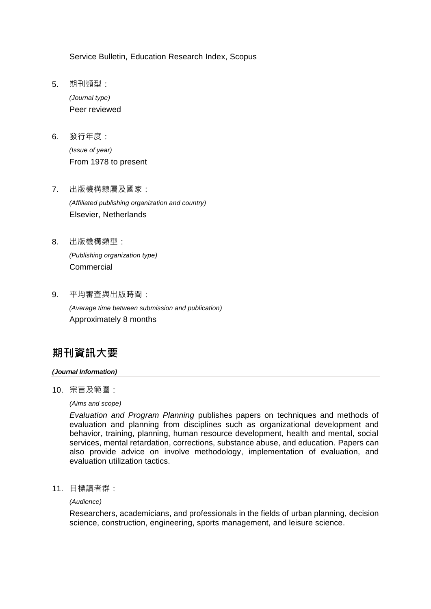Service Bulletin, Education Research Index, Scopus

- 5. 期刊類型: *(Journal type)* Peer reviewed
- 6. 發行年度:

*(Issue of year)* From 1978 to present

- 7. 出版機構隸屬及國家: *(Affiliated publishing organization and country)* Elsevier, Netherlands
- 8. 出版機構類型: *(Publishing organization type)* Commercial
- 9. 平均審查與出版時間:

*(Average time between submission and publication)* Approximately 8 months

## **期刊資訊大要**

#### *(Journal Information)*

10. 宗旨及範圍:

*(Aims and scope)*

*Evaluation and Program Planning* publishes papers on techniques and methods of evaluation and planning from disciplines such as organizational development and behavior, training, planning, human resource development, health and mental, social services, mental retardation, corrections, substance abuse, and education. Papers can also provide advice on involve methodology, implementation of evaluation, and evaluation utilization tactics.

11. 目標讀者群:

*(Audience)* 

Researchers, academicians, and professionals in the fields of urban planning, decision science, construction, engineering, sports management, and leisure science.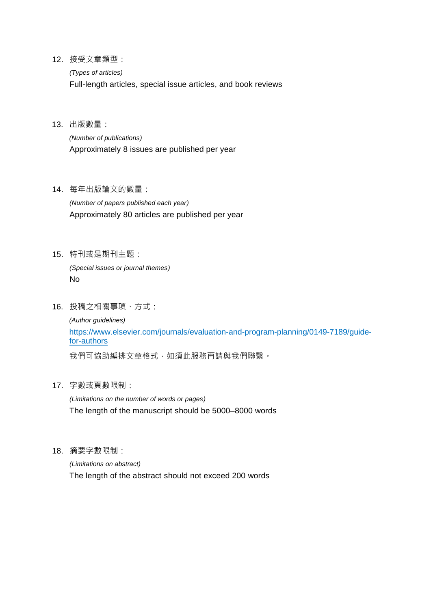12. 接受文章類型:

*(Types of articles)*

Full-length articles, special issue articles, and book reviews

13. 出版數量:

*(Number of publications)* Approximately 8 issues are published per year

14. 每年出版論文的數量:

*(Number of papers published each year)* Approximately 80 articles are published per year

15. 特刊或是期刊主題:

*(Special issues or journal themes)* No

16. 投稿之相關事項、方式:

*(Author guidelines)* https://www.elsevier.com/journals/evaluation-and-program-planning/0149-7189/guidefor-authors

我們可協助編排文章格式,如須此服務再請與我們聯繫。

17. 字數或頁數限制:

*(Limitations on the number of words or pages)* The length of the manuscript should be 5000–8000 words

18. 摘要字數限制:

*(Limitations on abstract)* The length of the abstract should not exceed 200 words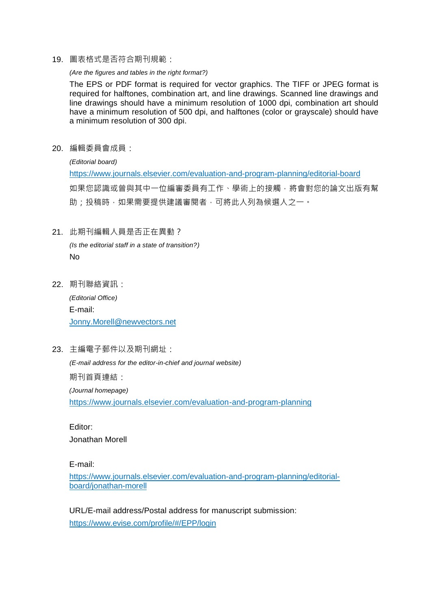19. 圖表格式是否符合期刊規範:

#### *(Are the figures and tables in the right format?)*

The EPS or PDF format is required for vector graphics. The TIFF or JPEG format is required for halftones, combination art, and line drawings. Scanned line drawings and line drawings should have a minimum resolution of 1000 dpi, combination art should have a minimum resolution of 500 dpi, and halftones (color or grayscale) should have a minimum resolution of 300 dpi.

20. 編輯委員會成員:

*(Editorial board)* https://www.journals.elsevier.com/evaluation-and-program-planning/editorial-board 如果您認識或曾與其中一位編審委員有工作、學術上的接觸,將會對您的論文出版有幫 助;投稿時,如果需要提供建議審閱者,可將此人列為候選人之一。

#### 21. 此期刊編輯人員是否正在異動?

*(Is the editorial staff in a state of transition?)* No

22. 期刊聯絡資訊:

*(Editorial Office)* E-mail: Jonny.Morell@newvectors.net

23. 主編電子郵件以及期刊網址:

*(E-mail address for the editor-in-chief and journal website)* 期刊首頁連結: *(Journal homepage)*

https://www.journals.elsevier.com/evaluation-and-program-planning

Editor: Jonathan Morell

E-mail:

https://www.journals.elsevier.com/evaluation-and-program-planning/editorialboard/jonathan-morell

URL/E-mail address/Postal address for manuscript submission: https://www.evise.com/profile/#/EPP/login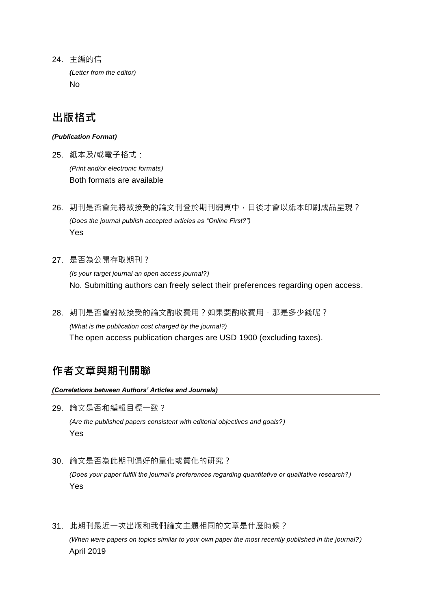24. 主編的信 *(Letter from the editor)* No

## **出版格式**

#### *(Publication Format)*

- 25. 紙本及/或電子格式: *(Print and/or electronic formats)* Both formats are available
- 26. 期刊是否會先將被接受的論文刊登於期刊網頁中,日後才會以紙本印刷成品呈現? *(Does the journal publish accepted articles as "Online First?")* Yes
- 27. 是否為公開存取期刊?

*(Is your target journal an open access journal?)* No. Submitting authors can freely select their preferences regarding open access.

28. 期刊是否會對被接受的論文酌收費用?如果要酌收費用,那是多少錢呢? *(What is the publication cost charged by the journal?)* The open access publication charges are USD 1900 (excluding taxes).

## **作者文章與期刊關聯**

#### *(Correlations between Authors' Articles and Journals)*

29. 論文是否和編輯目標一致?

*(Are the published papers consistent with editorial objectives and goals?)* Yes

30. 論文是否為此期刊偏好的量化或質化的研究?

*(Does your paper fulfill the journal's preferences regarding quantitative or qualitative research?)* Yes

31. 此期刊最近一次出版和我們論文主題相同的文章是什麼時候? *(When were papers on topics similar to your own paper the most recently published in the journal?)* April 2019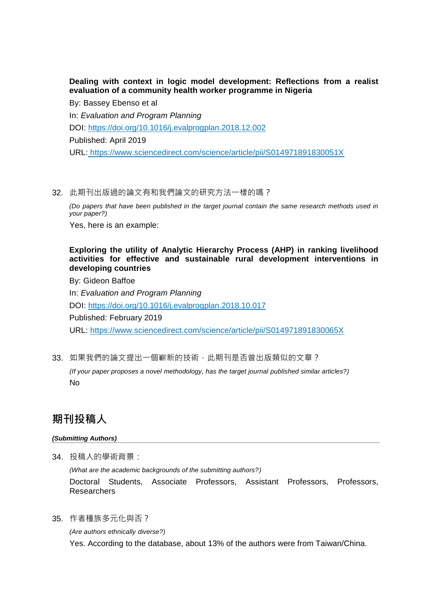## **Dealing with context in logic model development: Reflections from a realist evaluation of a community health worker programme in Nigeria**

By: Bassey Ebenso et al In: *Evaluation and Program Planning* DOI: https://doi.org/10.1016/j.evalprogplan.2018.12.002 Published: April 2019 URL: https://www.sciencedirect.com/science/article/pii/S014971891830051X

#### 32. 此期刊出版過的論文有和我們論文的研究方法一樣的嗎?

*(Do papers that have been published in the target journal contain the same research methods used in your paper?)*

Yes, here is an example:

### **Exploring the utility of Analytic Hierarchy Process (AHP) in ranking livelihood activities for effective and sustainable rural development interventions in developing countries**

By: Gideon Baffoe

In: *Evaluation and Program Planning*

DOI: https://doi.org/10.1016/j.evalprogplan.2018.10.017

Published: February 2019

URL: https://www.sciencedirect.com/science/article/pii/S014971891830065X

33. 如果我們的論文提出一個嶄新的技術,此期刊是否曾出版類似的文章?

*(If your paper proposes a novel methodology, has the target journal published similar articles?)* No

## **期刊投稿人**

#### *(Submitting Authors)*

34. 投稿人的學術背景:

*(What are the academic backgrounds of the submitting authors?)*

Doctoral Students, Associate Professors, Assistant Professors, Professors, Researchers

35. 作者種族多元化與否?

*(Are authors ethnically diverse?)*

Yes. According to the database, about 13% of the authors were from Taiwan/China.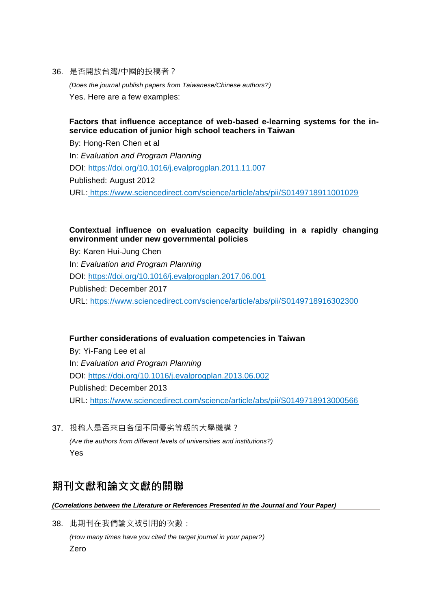36. 是否開放台灣/中國的投稿者?

*(Does the journal publish papers from Taiwanese/Chinese authors?)* Yes. Here are a few examples:

## **Factors that influence acceptance of web-based e-learning systems for the inservice education of junior high school teachers in Taiwan**

By: Hong-Ren Chen et al In: *Evaluation and Program Planning* DOI: https://doi.org/10.1016/j.evalprogplan.2011.11.007 Published: August 2012 URL: https://www.sciencedirect.com/science/article/abs/pii/S0149718911001029

## **Contextual influence on evaluation capacity building in a rapidly changing environment under new governmental policies**

By: Karen Hui-Jung Chen In: *Evaluation and Program Planning* DOI: https://doi.org/10.1016/j.evalprogplan.2017.06.001 Published: December 2017 URL: https://www.sciencedirect.com/science/article/abs/pii/S0149718916302300

## **Further considerations of evaluation competencies in Taiwan**

By: Yi-Fang Lee et al In: *Evaluation and Program Planning* DOI: https://doi.org/10.1016/j.evalprogplan.2013.06.002 Published: December 2013 URL: https://www.sciencedirect.com/science/article/abs/pii/S0149718913000566

37. 投稿人是否來自各個不同優劣等級的大學機構? *(Are the authors from different levels of universities and institutions?)* Yes

## **期刊文獻和論文文獻的關聯**

*(Correlations between the Literature or References Presented in the Journal and Your Paper)*

38. 此期刊在我們論文被引用的次數: *(How many times have you cited the target journal in your paper?)* Zero